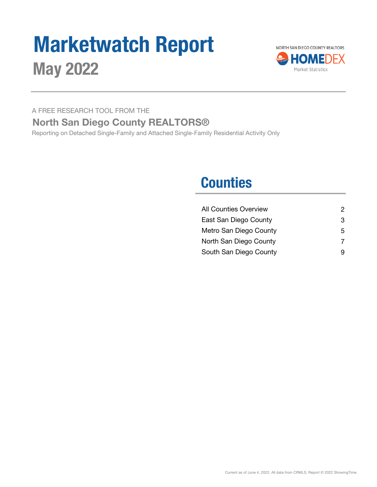# Marketwatch Report May 2022



A FREE RESEARCH TOOL FROM THE

### North San Diego County REALTORS®

Reporting on Detached Single-Family and Attached Single-Family Residential Activity Only

### **Counties**

| <b>All Counties Overview</b> | 2 |
|------------------------------|---|
| East San Diego County        | 3 |
| Metro San Diego County       | 5 |
| North San Diego County       | 7 |
| South San Diego County       | 9 |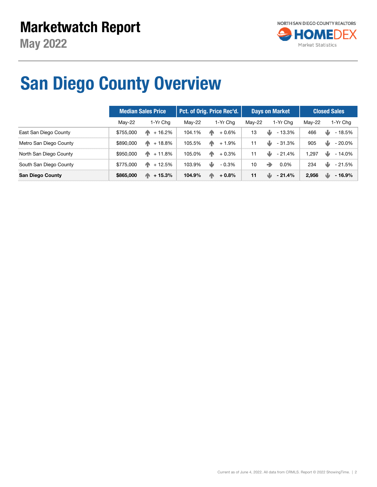

## San Diego County Overview

|                         | <b>Median Sales Price</b> |                      |        | Pct. of Orig. Price Rec'd. |        | <b>Days on Market</b>    | <b>Closed Sales</b> |                |  |
|-------------------------|---------------------------|----------------------|--------|----------------------------|--------|--------------------------|---------------------|----------------|--|
|                         | $Mav-22$                  | 1-Yr Cha             | Mav-22 | 1-Yr Cha                   | Mav-22 | 1-Yr Cha                 | Mav-22              | 1-Yr Chg       |  |
| East San Diego County   | \$755,000                 | ИN.<br>+ 16.2%       | 104.1% | <b>AN</b><br>$+0.6\%$      | 13     | ⋓<br>- 13.3%             | 466                 | - 18.5%<br>w   |  |
| Metro San Diego County  | \$890,000                 | + 18.8%<br>ИN.       | 105.5% | ИN.<br>$+1.9\%$            | 11     | ⋓<br>$-31.3\%$           | 905                 | ₩<br>$-20.0\%$ |  |
| North San Diego County  | \$950,000                 | $+11.8\%$            | 105.0% | ИN<br>$+0.3%$              | 11     | N.<br>- 21.4%            | .297                | w<br>$-14.0\%$ |  |
| South San Diego County  | \$775,000                 | $\mathsf{M}$ + 12.5% | 103.9% | ₩<br>$-0.3\%$              | 10     | $\Rightarrow$<br>$0.0\%$ | 234                 | - 21.5%<br>w   |  |
| <b>San Diego County</b> | \$865,000                 | $+15.3%$<br>AN.      | 104.9% | 小<br>$+0.8\%$              | 11     | w<br>$-21.4%$            | 2.956               | ۰W<br>- 16.9%  |  |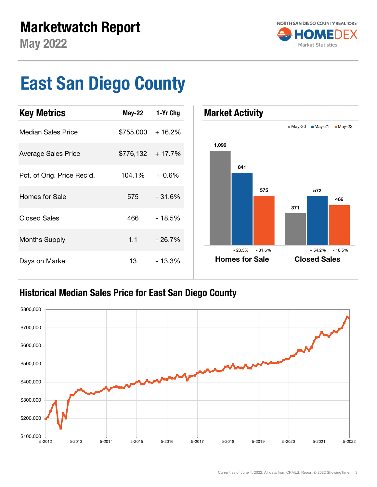

## East San Diego County



### Historical Median Sales Price for East San Diego County

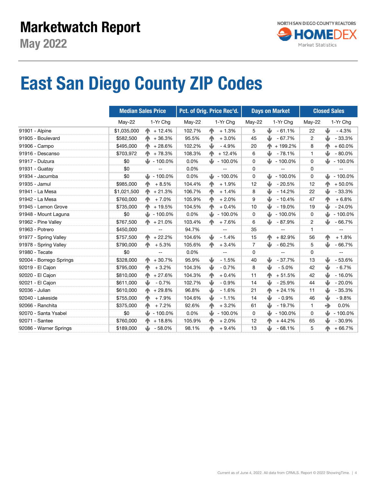## East San Diego County ZIP Codes

|                         |             | <b>Median Sales Price</b> | Pct. of Orig. Price Rec'd. |              |            |                | <b>Days on Market</b> | <b>Closed Sales</b> |                        |  |
|-------------------------|-------------|---------------------------|----------------------------|--------------|------------|----------------|-----------------------|---------------------|------------------------|--|
|                         | May-22      | 1-Yr Chg                  | May-22                     |              | 1-Yr Chg   | May-22         | 1-Yr Chg              | May-22              | 1-Yr Chg               |  |
| 91901 - Alpine          | \$1,035,000 | $\binom{1}{1}$ + 12.4%    | 102.7%                     | 小            | $+1.3%$    | 5              | J<br>$-61.1%$         | 22                  | ⋓<br>$-4.3%$           |  |
| 91905 - Boulevard       | \$582,500   | $+36.3%$                  | 95.5%                      | $\mathbf{r}$ | $+3.0%$    | 45             | J<br>$-67.7%$         | $\overline{c}$      | ⋓<br>$-33.3%$          |  |
| 91906 - Campo           | \$495,000   | $+28.6%$                  | 102.2%                     | ⋓            | $-4.9%$    | 20             | + 199.2%              | 8                   | $+60.0%$               |  |
| 91916 - Descanso        | \$703,972   | $+78.3%$<br>小             | 108.3%                     | 个            | $+12.4%$   | 6              | ⋓<br>$-78.1%$         | 1                   | ⋓<br>$-80.0%$          |  |
| 91917 - Dulzura         | \$0         | $\frac{1}{2}$ - 100.0%    | 0.0%                       | ⋓            | $-100.0\%$ | 0              | ⋓<br>$-100.0\%$       | 0                   | ⋓<br>$-100.0%$         |  |
| 91931 - Guatay          | \$0         | $-$                       | 0.0%                       |              | --         | 0              | --                    | 0                   | --                     |  |
| 91934 - Jacumba         | \$0         | $\frac{1}{2}$ - 100.0%    | 0.0%                       | ₩            | $-100.0\%$ | 0              | ⋓<br>$-100.0\%$       | 0                   | $\frac{1}{2}$ - 100.0% |  |
| 91935 - Jamul           | \$985,000   | 小<br>$+8.5%$              | 104.4%                     | 小            | $+1.9%$    | 12             | ⋓<br>$-20.5%$         | 12                  | $+50.0%$<br>个          |  |
| 91941 - La Mesa         | \$1,021,500 | 个<br>$+21.3%$             | 106.7%                     | 个            | $+1.4%$    | 8              | ⋓<br>$-14.2%$         | 22                  | ⋓<br>$-33.3%$          |  |
| 91942 - La Mesa         | \$760,000   | 小<br>$+7.0%$              | 105.9%                     | $\mathbf{r}$ | $+2.0%$    | 9              | J<br>$-10.4%$         | 47                  | 个<br>$+6.8%$           |  |
| 91945 - Lemon Grove     | \$735,000   | $+19.5%$                  | 104.5%                     | 个            | $+0.4%$    | 10             | ⋓<br>$-19.0%$         | 19                  | ⋓<br>$-24.0%$          |  |
| 91948 - Mount Laguna    | \$0         | JJ.<br>$-100.0\%$         | 0.0%                       | ⋓            | $-100.0%$  | 0              | ⋓<br>$-100.0%$        | 0                   | J<br>$-100.0%$         |  |
| 91962 - Pine Valley     | \$767,500   | $\spadesuit$ + 21.0%      | 103.4%                     | $\sqrt{1}$   | $+7.6%$    | 6              | ⋓<br>- 87.9%          | 2                   | $-66.7%$<br>J          |  |
| 91963 - Potrero         | \$450,000   | $-$                       | 94.7%                      |              | --         | 35             | --                    | 1                   | --                     |  |
| 91977 - Spring Valley   | \$757,500   | $+22.2%$<br>ИN.           | 104.6%                     | ₩            | $-1.4%$    | 15             | $+82.9%$<br>ИΝ        | 56                  | $+1.8%$<br>个           |  |
| 91978 - Spring Valley   | \$790,000   | $+5.3%$<br>ИN.            | 105.6%                     | $\sqrt{1}$   | $+3.4%$    | $\overline{7}$ | ⋓<br>$-60.2%$         | 5                   | ⋓<br>$-66.7%$          |  |
| 91980 - Tecate          | \$0         | $\qquad \qquad -$         | 0.0%                       |              | --         | 0              | --                    | 0                   | --                     |  |
| 92004 - Borrego Springs | \$328,000   | $+30.7%$<br>个             | 95.9%                      | ψ            | $-1.5%$    | 40             | J<br>$-37.7%$         | 13                  | ⋓<br>$-53.6%$          |  |
| 92019 - El Cajon        | \$795,000   | $+3.2%$                   | 104.3%                     | ⋓            | $-0.7%$    | 8              | ⋓<br>$-5.0%$          | 42                  | ⋓<br>$-6.7%$           |  |
| 92020 - El Cajon        | \$810,000   | $+27.6%$<br>小             | 104.3%                     | 个            | $+0.4%$    | 11             | $+51.5%$<br>ИÑ        | 42                  | ⋓<br>$-16.0%$          |  |
| 92021 - El Cajon        | \$611,000   | ⋓<br>$-0.7%$              | 102.7%                     | ₩            | $-0.9%$    | 14             | J<br>$-25.9%$         | 44                  | ⋓<br>$-20.0%$          |  |
| 92036 - Julian          | \$610,000   | $+29.8%$<br>个             | 96.8%                      | ₩            | $-1.6%$    | 21             | $+24.1%$<br>不         | 11                  | ⋓<br>$-35.3%$          |  |
| 92040 - Lakeside        | \$755,000   | $+7.9%$<br><b>TN</b>      | 104.6%                     | ⋓            | $-1.1%$    | 14             | ⋓<br>$-0.9%$          | 46                  | ⋓<br>$-9.8%$           |  |
| 92066 - Ranchita        | \$375,000   | $+7.2%$<br>小              | 92.6%                      | 个            | $+3.2%$    | 61             | ⋓<br>$-19.7%$         | 1                   | $\Rightarrow$<br>0.0%  |  |
| 92070 - Santa Ysabel    | \$0         | $\frac{1}{2}$ - 100.0%    | 0.0%                       | ⋓            | $-100.0\%$ | 0              | ⋓<br>$-100.0%$        | 0                   | ⋓<br>$-100.0%$         |  |
| 92071 - Santee          | \$760,000   | $+18.8%$<br>小             | 105.9%                     | 个            | $+2.0%$    | 12             | $+44.2%$              | 65                  | ⋓<br>$-30.9%$          |  |
| 92086 - Warner Springs  | \$189,000   | ⋓<br>- 58.0%              | 98.1%                      | 个            | $+9.4%$    | 13             | J<br>$-68.1%$         | 5                   | $+66.7%$<br>不          |  |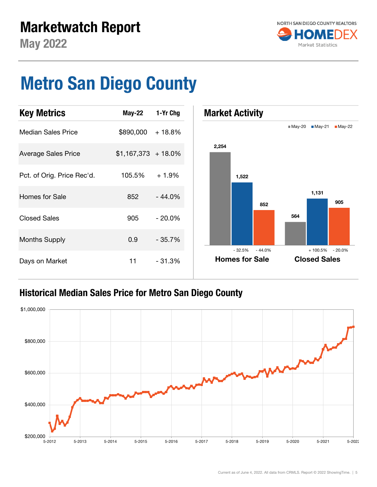

## Metro San Diego County



#### Historical Median Sales Price for Metro San Diego County

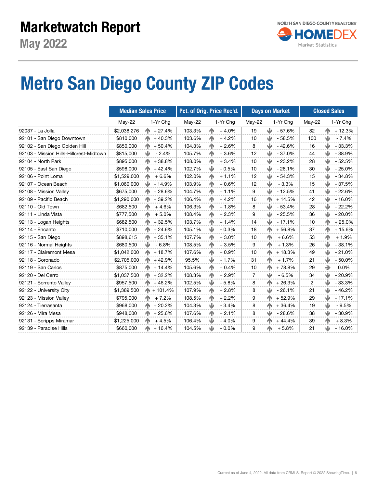### Marketwatch Report



## Metro San Diego County ZIP Codes

|                                         | <b>Median Sales Price</b> |                      | Pct. of Orig. Price Rec'd. |             |          | <b>Days on Market</b> |           |          | <b>Closed Sales</b> |                |          |
|-----------------------------------------|---------------------------|----------------------|----------------------------|-------------|----------|-----------------------|-----------|----------|---------------------|----------------|----------|
|                                         | May-22                    | 1-Yr Chq             | May-22                     |             | 1-Yr Chq | May-22                |           | 1-Yr Chg | May-22              |                | 1-Yr Chg |
| 92037 - La Jolla                        | \$2,038,276               | $+27.4%$<br>ИN.      | 103.3%                     | 个           | $+4.0%$  | 19                    | J         | $-57.6%$ | 82                  | n <sub>1</sub> | $+12.3%$ |
| 92101 - San Diego Downtown              | \$810,000                 | $+40.3%$<br>ИN.      | 103.6%                     | 个           | $+4.2%$  | 10                    | ⋓         | $-58.5%$ | 100                 | ⋓              | $-7.4%$  |
| 92102 - San Diego Golden Hill           | \$850,000                 | $+50.4%$<br>小        | 104.3%                     | 小           | $+2.6%$  | 8                     | J         | $-42.6%$ | 16                  | J              | $-33.3%$ |
| 92103 - Mission Hills-Hillcrest-Midtown | \$815,000                 | ⋓<br>$-2.4%$         | 105.7%                     | 个           | $+3.6%$  | 12                    | ⋓         | $-37.0%$ | 44                  | Ψ              | $-38.9%$ |
| 92104 - North Park                      | \$895,000                 | 个<br>$+38.8%$        | 108.0%                     | 个           | $+3.4%$  | 10                    | J         | $-23.2%$ | 28                  | ⋓              | $-52.5%$ |
| 92105 - East San Diego                  | \$598,000                 | 个<br>$+42.4%$        | 102.7%                     | ₩           | $-0.5%$  | 10                    | ⋓         | $-28.1%$ | 30                  | ₩              | $-25.0%$ |
| 92106 - Point Loma                      | \$1,529,000               | $+6.6%$<br>个         | 102.0%                     | 个           | $+1.1%$  | 12                    | ⋓         | $-54.3%$ | 15                  | ⋓              | $-34.8%$ |
| 92107 - Ocean Beach                     | \$1,060,000               | ⋓<br>$-14.9%$        | 103.9%                     | 个           | $+0.6%$  | 12                    | ⋓         | $-3.3%$  | 15                  | ⋓              | $-37.5%$ |
| 92108 - Mission Valley                  | \$675,000                 | 个<br>$+28.6%$        | 104.7%                     | 个           | $+1.1%$  | 9                     | ⋓         | $-12.5%$ | 41                  | ⋓              | $-22.6%$ |
| 92109 - Pacific Beach                   | \$1,290,000               | 个<br>$+39.2%$        | 106.4%                     | 个           | $+4.2%$  | 16                    | ИÑ        | $+14.5%$ | 42                  | ₩              | $-16.0%$ |
| 92110 - Old Town                        | \$682,500                 | 个<br>$+4.6%$         | 106.3%                     | $n_{\rm P}$ | $+1.8%$  | 8                     | ⋓         | $-53.4%$ | 28                  | ⋓              | $-22.2%$ |
| 92111 - Linda Vista                     | \$777,500                 | 个<br>$+5.0%$         | 108.4%                     | $n_{\rm P}$ | $+2.3%$  | 9                     | ⋓         | $-25.5%$ | 36                  | ⋓              | $-20.0%$ |
| 92113 - Logan Heights                   | \$682,500                 | $+32.5%$<br>个        | 103.7%                     | $\sqrt{1}$  | $+1.4%$  | 14                    | ⋓         | $-17.1%$ | 10                  |                | $+25.0%$ |
| 92114 - Encanto                         | \$710,000                 | $+24.6%$<br>不        | 105.1%                     | 业           | $-0.3%$  | 18                    | ИN.       | $+56.8%$ | 37                  | 小              | $+15.6%$ |
| 92115 - San Diego                       | \$898,615                 | $+35.1%$<br>个        | 107.7%                     | 小           | $+3.0%$  | 10                    | ИN        | $+6.6%$  | 53                  |                | $+1.9%$  |
| 92116 - Normal Heights                  | \$680,500                 | ⋓<br>$-6.8%$         | 108.5%                     | 个           | $+3.5%$  | 9                     | <b>AN</b> | $+1.3%$  | 26                  | ⋓              | $-38.1%$ |
| 92117 - Clairemont Mesa                 | \$1,042,000               | $+18.7%$<br>个        | 107.6%                     | $\sqrt{2}$  | $+0.9%$  | 10                    | ИN.       | $+18.3%$ | 49                  | ⋓              | $-21.0%$ |
| 92118 - Coronado                        | \$2,705,000               | 个<br>$+42.9%$        | 95.5%                      | Ŵ           | $-1.7%$  | 31                    | AN.       | $+1.7%$  | 21                  | ₩              | $-50.0%$ |
| 92119 - San Carlos                      | \$875,000                 | $\spadesuit$ + 14.4% | 105.6%                     | 个           | $+0.4%$  | 10                    | ИN        | +78.8%   | 29                  | →              | 0.0%     |
| 92120 - Del Cerro                       | \$1,037,500               | $+32.2%$<br>不        | 108.3%                     | 个           | $+2.9%$  | $\overline{7}$        | ⋓         | $-6.5%$  | 34                  | ψ              | $-20.9%$ |
| 92121 - Sorrento Valley                 | \$957,500                 | $+46.2%$<br>个        | 102.5%                     | ₩           | $-5.8%$  | 8                     | ИN.       | $+26.3%$ | 2                   |                | $-33.3%$ |
| 92122 - University City                 | \$1,389,500               | $+101.4%$<br>不       | 107.9%                     | 个           | $+2.8%$  | 8                     | ⋓         | $-26.1%$ | 21                  | ⋓              | $-46.2%$ |
| 92123 - Mission Valley                  | \$795,000                 | $+7.2%$<br>不         | 108.5%                     | $\sqrt{1}$  | $+2.2%$  | 9                     | ИN.       | $+52.9%$ | 29                  | ⋓              | $-17.1%$ |
| 92124 - Tierrasanta                     | \$968,000                 | $+20.2%$<br>不        | 104.3%                     | ₩           | $-3.4%$  | 8                     | ИÑ        | $+36.4%$ | 19                  | ₩              | $-9.5%$  |
| 92126 - Mira Mesa                       | \$948,000                 | $+25.6%$<br>个        | 107.6%                     | 个           | $+2.1%$  | 8                     | ⋓         | $-28.6%$ | 38                  | ⋓              | $-30.9%$ |
| 92131 - Scripps Miramar                 | \$1,225,000               | 个<br>$+4.5%$         | 106.4%                     | ₩           | $-4.0%$  | 9                     |           | $+44.4%$ | 39                  | $n_{\rm N}$    | $+8.3%$  |
| 92139 - Paradise Hills                  | \$660,000                 | 不<br>$+16.4%$        | 104.5%                     | ⋓           | $-0.0%$  | 9                     | ИÑ        | $+5.8%$  | 21                  | J              | $-16.0%$ |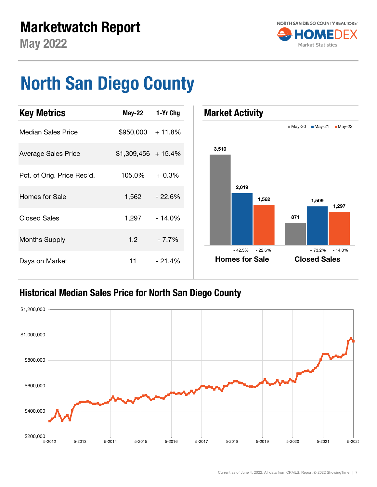

May 2022

## North San Diego County



#### Historical Median Sales Price for North San Diego County

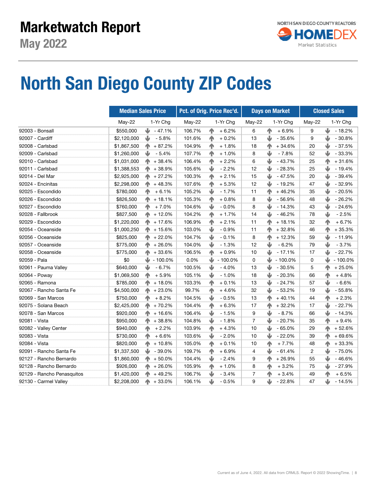### Marketwatch Report



## North San Diego County ZIP Codes

|                            |             | <b>Median Sales Price</b> |        | Pct. of Orig. Price Rec'd. |                | <b>Days on Market</b>      | <b>Closed Sales</b> |                            |  |
|----------------------------|-------------|---------------------------|--------|----------------------------|----------------|----------------------------|---------------------|----------------------------|--|
|                            | May-22      | 1-Yr Chg                  | May-22 | 1-Yr Chg                   | May-22         | 1-Yr Chg                   | May-22              | 1-Yr Chg                   |  |
| 92003 - Bonsall            | \$550,000   | JJ.<br>$-47.1%$           | 106.7% | $+6.2%$<br>小               | 6              | $n_{\rm P}$<br>$+6.9%$     | 9                   | ⋓<br>$-18.2%$              |  |
| 92007 - Cardiff            | \$2,120,000 | ⋓<br>$-5.8%$              | 101.6% | 小<br>$+0.2%$               | 13             | ⋓<br>$-35.6%$              | 9                   | J<br>$-30.8%$              |  |
| 92008 - Carlsbad           | \$1,867,500 | $+87.2%$<br>个             | 104.9% | 个<br>$+1.8%$               | 18             | $n_{\rm P}$<br>$+34.6%$    | 20                  | ⋓<br>$-37.5%$              |  |
| 92009 - Carlsbad           | \$1,260,000 | ⋓<br>$-5.4%$              | 107.7% | $+1.0%$<br>小               | 8              | ₩<br>$-7.8%$               | 52                  | ⋓<br>$-33.3%$              |  |
| 92010 - Carlsbad           | \$1,031,000 | 个<br>$+38.4%$             | 106.4% | $n_{\rm P}$<br>$+2.2%$     | 6              | J<br>$-43.7%$              | 25                  | n <sub>N</sub><br>$+31.6%$ |  |
| 92011 - Carlsbad           | \$1,388,553 | 个<br>+38.9%               | 105.6% | ⋓<br>$-2.2%$               | 12             | J<br>$-28.3%$              | 25                  | J<br>$-19.4%$              |  |
| 92014 - Del Mar            | \$2,925,000 | 个<br>$+27.2%$             | 100.3% | $n_{\rm N}$<br>$+2.1%$     | 15             | J<br>$-47.5%$              | 20                  | J<br>$-39.4%$              |  |
| 92024 - Encinitas          | \$2,298,000 | Æ.<br>$+48.3%$            | 107.6% | 个<br>$+5.3%$               | 12             | ⋓<br>$-19.2%$              | 47                  | J<br>$-32.9%$              |  |
| 92025 - Escondido          | \$780,000   | $+6.1%$<br>不              | 105.2% | ⋓<br>$-1.7%$               | 11             | n <sub>N</sub><br>$+46.2%$ | 35                  | J<br>$-20.5%$              |  |
| 92026 - Escondido          | \$826,500   | 不<br>$+18.1%$             | 105.3% | $\mathbf{r}$<br>$+0.8%$    | 8              | J<br>$-56.9%$              | 48                  | J<br>$-26.2%$              |  |
| 92027 - Escondido          | \$760,000   | 个<br>$+7.0%$              | 104.6% | ⋓<br>$-0.0%$               | 8              | J<br>$-14.3%$              | 43                  | ⋓<br>$-24.6%$              |  |
| 92028 - Fallbrook          | \$827,500   | $+12.0%$<br>个             | 104.2% | $\mathbf{r}$<br>$+1.7%$    | 14             | ىلل<br>$-46.2%$            | 78                  | ⋓<br>$-2.5%$               |  |
| 92029 - Escondido          | \$1,220,000 | $+17.6%$<br>个             | 106.9% | 个<br>$+2.1%$               | 11             | $+18.1%$                   | 32                  | n <sub>N</sub><br>$+6.7%$  |  |
| 92054 - Oceanside          | \$1,000,250 | $+15.6%$<br>T.            | 103.0% | J<br>$-0.9%$               | 11             | $+32.8%$<br>小              | 46                  | 小<br>$+35.3%$              |  |
| 92056 - Oceanside          | \$825,000   | $+22.0%$<br>个             | 104.7% | ⋓<br>$-0.1%$               | 8              | $+12.3%$                   | 59                  | ⋓<br>$-11.9%$              |  |
| 92057 - Oceanside          | \$775,000   | $+26.0%$<br>ИN.           | 104.0% | ⋓<br>$-1.3%$               | 12             | J<br>$-6.2%$               | 79                  | ⋓<br>$-3.7%$               |  |
| 92058 - Oceanside          | \$775,000   | $+33.6%$<br>个             | 106.5% | 个<br>$+0.9%$               | 10             | ⋓<br>$-17.1%$              | 17                  | ⋓<br>$-22.7%$              |  |
| 92059 - Pala               | \$0         | ⋓<br>$-100.0%$            | 0.0%   | ⋓<br>$-100.0%$             | 0              | ⋓<br>$-100.0%$             | 0                   | J<br>$-100.0%$             |  |
| 92061 - Pauma Valley       | \$640,000   | ⋓<br>$-6.7%$              | 100.5% | V<br>$-4.0%$               | 13             | ⋓<br>$-30.5%$              | 5                   | $+25.0%$<br>小              |  |
| 92064 - Poway              | \$1,069,500 | $+5.9%$<br>个              | 105.1% | V<br>$-1.0%$               | 18             | ⋓<br>$-20.3%$              | 66                  | 小<br>$+4.8%$               |  |
| 92065 - Ramona             | \$785,000   | $+18.0%$<br>个             | 103.3% | $\mathbf{r}$<br>$+0.1%$    | 13             | ⋓<br>$-24.7%$              | 57                  | ψ<br>$-6.6%$               |  |
| 92067 - Rancho Santa Fe    | \$4,500,000 | $+23.0%$<br>个             | 99.7%  | 个<br>$+4.6%$               | 32             | w<br>$-53.2%$              | 19                  | J<br>$-55.8%$              |  |
| 92069 - San Marcos         | \$750,000   | $+8.2%$<br>个              | 104.5% | ψ<br>$-0.5%$               | 13             | $+40.1%$<br>个              | 44                  | 小<br>$+2.3%$               |  |
| 92075 - Solana Beach       | \$2,425,000 | 个<br>$+70.2%$             | 104.4% | 个<br>$+6.3%$               | 17             | $+32.2%$<br>小              | 17                  | $-22.7%$                   |  |
| 92078 - San Marcos         | \$920,000   | 个<br>$+16.6%$             | 106.4% | ψ<br>$-1.5%$               | 9              | Ψ<br>$-8.7%$               | 66                  | $-14.3%$                   |  |
| 92081 - Vista              | \$950,000   | 个<br>$+38.8%$             | 104.8% | J<br>$-1.8%$               | 7              | J<br>$-20.7%$              | 35                  | $+9.4%$                    |  |
| 92082 - Valley Center      | \$940,000   | 个<br>$+2.2%$              | 103.9% | $\sqrt{ }$<br>$+4.3%$      | 10             | ⋓<br>$-65.0%$              | 29                  | $+52.6%$                   |  |
| 92083 - Vista              | \$730,000   | 个<br>$+6.6%$              | 103.6% | ⋓<br>$-2.0%$               | 10             | w<br>$-22.0%$              | 39                  | $+69.6%$                   |  |
| 92084 - Vista              | \$820,000   | ИN.<br>$+10.8%$           | 105.0% | 个<br>$+0.1%$               | 10             | 个<br>$+7.7%$               | 48                  | $+33.3%$                   |  |
| 92091 - Rancho Santa Fe    | \$1,337,500 | w.<br>-39.0%              | 109.7% | 个<br>$+6.9%$               | 4              | ⋓<br>$-61.4%$              | $\overline{c}$      | $-75.0%$                   |  |
| 92127 - Rancho Bernardo    | \$1,860,000 | $+50.0%$<br>个             | 104.4% | ₩<br>$-2.4%$               | 9              | $+26.9%$                   | 55                  | $-46.6%$                   |  |
| 92128 - Rancho Bernardo    | \$926,000   | $+26.0%$<br>ИN.           | 105.9% | 个<br>$+1.0%$               | 8              | $+3.2%$                    | 75                  | $-27.9%$                   |  |
| 92129 - Rancho Penasquitos | \$1,420,000 | $+49.2%$<br>ИN.           | 106.7% | J<br>$-3.4%$               | $\overline{7}$ | $+3.4%$                    | 49                  | $+6.5%$                    |  |
| 92130 - Carmel Valley      | \$2,208,000 | $\spadesuit$ + 33.0%      | 106.1% | ⋓<br>$-0.5%$               | 9              | $-22.8%$<br>⋓              | 47                  | ⋓<br>$-14.5%$              |  |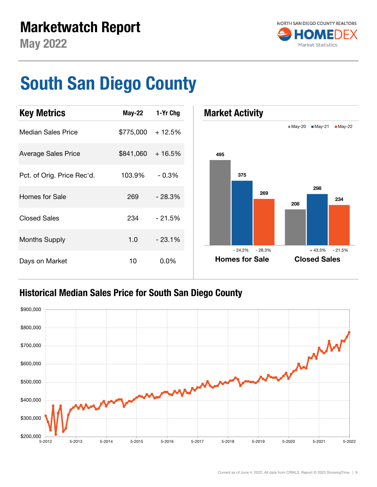

## South San Diego County



#### Historical Median Sales Price for South San Diego County